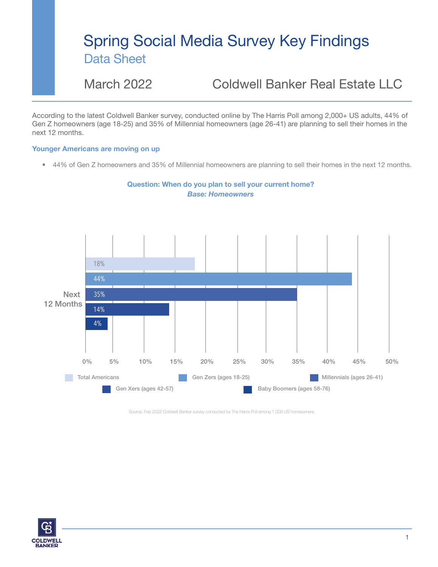## Spring Social Media Survey Key Findings Data Sheet

### March 2022 Coldwell Banker Real Estate LLC

According to the latest Coldwell Banker survey, conducted online by The Harris Poll among 2,000+ US adults, 44% of Gen Z homeowners (age 18-25) and 35% of Millennial homeowners (age 26-41) are planning to sell their homes in the next 12 months.

### Younger Americans are moving on up

• 44% of Gen Z homeowners and 35% of Millennial homeowners are planning to sell their homes in the next 12 months.



Question: When do you plan to sell your current home? *Base: Homeowners*

Source: Feb 2022 Coldwell Banker survey conducted by The Harris Poll among 1,309 US homeowners.